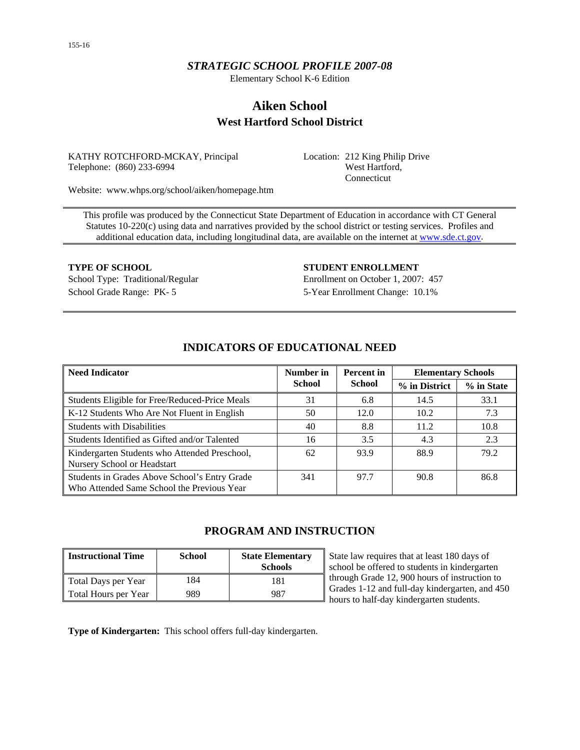# *STRATEGIC SCHOOL PROFILE 2007-08*

Elementary School K-6 Edition

# **Aiken School West Hartford School District**

KATHY ROTCHFORD-MCKAY, Principal Telephone: (860) 233-6994

Location: 212 King Philip Drive West Hartford, Connecticut

Website: www.whps.org/school/aiken/homepage.htm

This profile was produced by the Connecticut State Department of Education in accordance with CT General Statutes 10-220(c) using data and narratives provided by the school district or testing services. Profiles and additional education data, including longitudinal data, are available on the internet at [www.sde.ct.gov.](http://www.sde.ct.gov/)

**TYPE OF SCHOOL STUDENT ENROLLMENT** School Type: Traditional/Regular Enrollment on October 1, 2007: 457 School Grade Range: PK- 5 5-Year Enrollment Change: 10.1%

| <b>Need Indicator</b>                                                                       | Number in | <b>Percent</b> in<br><b>School</b><br><b>School</b> |      | <b>Elementary Schools</b> |  |  |
|---------------------------------------------------------------------------------------------|-----------|-----------------------------------------------------|------|---------------------------|--|--|
|                                                                                             |           |                                                     |      | % in State                |  |  |
| Students Eligible for Free/Reduced-Price Meals                                              | 31        | 6.8                                                 | 14.5 | 33.1                      |  |  |
| K-12 Students Who Are Not Fluent in English                                                 | 50        | 12.0                                                | 10.2 | 7.3                       |  |  |
| <b>Students with Disabilities</b>                                                           | 40        | 8.8                                                 | 11.2 | 10.8                      |  |  |
| Students Identified as Gifted and/or Talented                                               | 16        | 3.5                                                 | 4.3  | 2.3                       |  |  |
| Kindergarten Students who Attended Preschool,<br>Nursery School or Headstart                | 62        | 93.9                                                | 88.9 | 79.2                      |  |  |
| Students in Grades Above School's Entry Grade<br>Who Attended Same School the Previous Year | 341       | 97.7                                                | 90.8 | 86.8                      |  |  |

# **INDICATORS OF EDUCATIONAL NEED**

# **PROGRAM AND INSTRUCTION**

| <b>Instructional Time</b> | <b>School</b> | <b>State Elementary</b><br><b>Schools</b> |
|---------------------------|---------------|-------------------------------------------|
| Total Days per Year       | 184           | 181                                       |
| Total Hours per Year      | 989           | 987                                       |

State law requires that at least 180 days of school be offered to students in kindergarten through Grade 12, 900 hours of instruction to Grades 1-12 and full-day kindergarten, and 450 hours to half-day kindergarten students.

**Type of Kindergarten:** This school offers full-day kindergarten.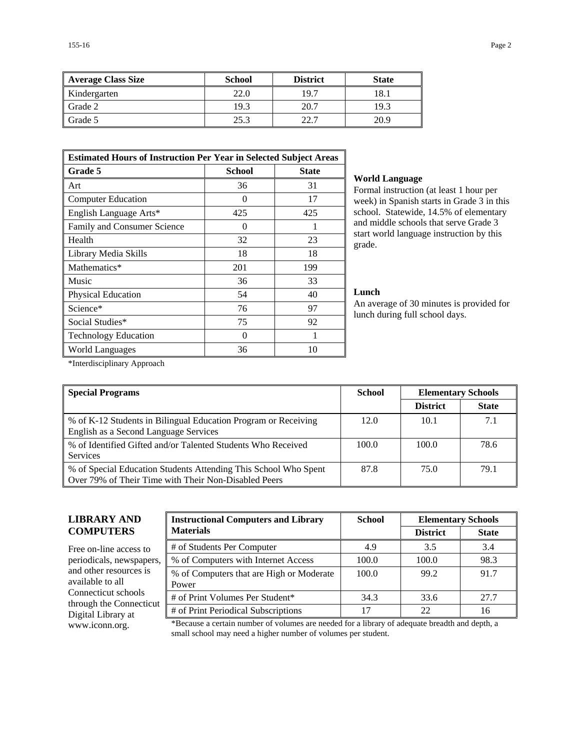| Average Class Size | <b>School</b> | <b>District</b> | <b>State</b> |
|--------------------|---------------|-----------------|--------------|
| Kindergarten       | 22.0          | 19.7            | 18.1         |
| Grade 2            | 19.3          | 20.7            | 19.3         |
| Grade 5            | 25.3          | 22.7            | 20.9         |

| <b>Estimated Hours of Instruction Per Year in Selected Subject Areas</b> |                   |              |  |  |  |
|--------------------------------------------------------------------------|-------------------|--------------|--|--|--|
| Grade 5                                                                  | <b>School</b>     | <b>State</b> |  |  |  |
| Art                                                                      | 36                | 31           |  |  |  |
| <b>Computer Education</b>                                                | $\mathbf{\Omega}$ | 17           |  |  |  |
| English Language Arts*                                                   | 425               | 425          |  |  |  |
| Family and Consumer Science                                              | 0                 | 1            |  |  |  |
| Health                                                                   | 32                | 23           |  |  |  |
| Library Media Skills                                                     | 18                | 18           |  |  |  |
| Mathematics*                                                             | 201               | 199          |  |  |  |
| Music                                                                    | 36                | 33           |  |  |  |
| Physical Education                                                       | 54                | 40           |  |  |  |
| Science*                                                                 | 76                | 97           |  |  |  |
| Social Studies*                                                          | 75                | 92           |  |  |  |
| <b>Technology Education</b>                                              | 0                 | 1            |  |  |  |
| World Languages                                                          | 36                | 10           |  |  |  |

#### **World Language**

Formal instruction (at least 1 hour per week) in Spanish starts in Grade 3 in this school. Statewide, 14.5% of elementary and middle schools that serve Grade 3 start world language instruction by this grade.

#### **Lunch**

An average of 30 minutes is provided for lunch during full school days.

\*Interdisciplinary Approach

| <b>Special Programs</b>                                                                                                 | <b>School</b> | <b>Elementary Schools</b> |              |
|-------------------------------------------------------------------------------------------------------------------------|---------------|---------------------------|--------------|
|                                                                                                                         |               | <b>District</b>           | <b>State</b> |
| % of K-12 Students in Bilingual Education Program or Receiving<br>English as a Second Language Services                 | 12.0          | 10.1                      | 7.1          |
| % of Identified Gifted and/or Talented Students Who Received<br><b>Services</b>                                         | 100.0         | 100.0                     | 78.6         |
| % of Special Education Students Attending This School Who Spent<br>Over 79% of Their Time with Their Non-Disabled Peers | 87.8          | 75.0                      | 79.1         |

# **LIBRARY AND COMPUTERS**

Free on-line access to periodicals, newspapers, and other resources is available to all Connecticut schools through the Connecticut Digital Library at

| <b>Instructional Computers and Library</b>        | <b>School</b> | <b>Elementary Schools</b> |              |  |
|---------------------------------------------------|---------------|---------------------------|--------------|--|
| <b>Materials</b>                                  |               | <b>District</b>           | <b>State</b> |  |
| # of Students Per Computer                        | 4.9           | 3.5                       | 3.4          |  |
| % of Computers with Internet Access               | 100.0         | 100.0                     | 98.3         |  |
| % of Computers that are High or Moderate<br>Power | 100.0         | 99.2                      | 91.7         |  |
| # of Print Volumes Per Student*                   | 34.3          | 33.6                      | 27.7         |  |
| # of Print Periodical Subscriptions               | 17            | 22                        | 16           |  |

www.iconn.org. \*Because a certain number of volumes are needed for a library of adequate breadth and depth, a small school may need a higher number of volumes per student.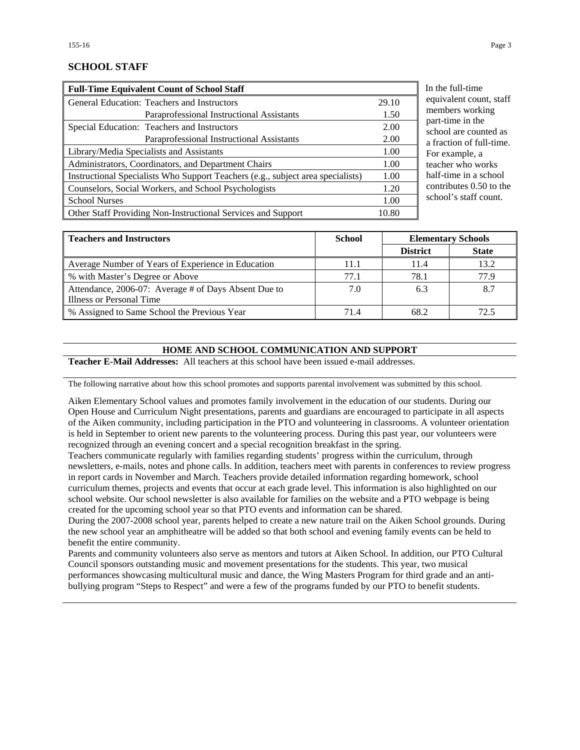## **SCHOOL STAFF**

| <b>Full-Time Equivalent Count of School Staff</b>                               |       |
|---------------------------------------------------------------------------------|-------|
| General Education: Teachers and Instructors                                     | 29.10 |
| Paraprofessional Instructional Assistants                                       | 1.50  |
| Special Education: Teachers and Instructors                                     | 2.00  |
| Paraprofessional Instructional Assistants                                       | 2.00  |
| Library/Media Specialists and Assistants                                        | 1.00  |
| Administrators, Coordinators, and Department Chairs                             | 1.00  |
| Instructional Specialists Who Support Teachers (e.g., subject area specialists) | 1.00  |
| Counselors, Social Workers, and School Psychologists                            | 1.20  |
| <b>School Nurses</b>                                                            | 1.00  |
| Other Staff Providing Non-Instructional Services and Support                    | 10.80 |

the full-time uivalent count, staff members working rt-time in the hool are counted as raction of full-time. r example, a cher who works lf-time in a school ntributes  $0.50$  to the nool's staff count.

| <b>Teachers and Instructors</b>                      | <b>School</b><br><b>Elementary Schools</b> |                 |              |
|------------------------------------------------------|--------------------------------------------|-----------------|--------------|
|                                                      |                                            | <b>District</b> | <b>State</b> |
| Average Number of Years of Experience in Education   | 11.1                                       | 11.4            | 13.2         |
| % with Master's Degree or Above                      | 77.1                                       | 78.1            | 77.9         |
| Attendance, 2006-07: Average # of Days Absent Due to | 7.0                                        | 6.3             | 8.7          |
| Illness or Personal Time                             |                                            |                 |              |
| % Assigned to Same School the Previous Year          | 71.4                                       | 68.2            | 72.5         |

### **HOME AND SCHOOL COMMUNICATION AND SUPPORT**

**Teacher E-Mail Addresses:** All teachers at this school have been issued e-mail addresses.

The following narrative about how this school promotes and supports parental involvement was submitted by this school.

Aiken Elementary School values and promotes family involvement in the education of our students. During our Open House and Curriculum Night presentations, parents and guardians are encouraged to participate in all aspects of the Aiken community, including participation in the PTO and volunteering in classrooms. A volunteer orientation is held in September to orient new parents to the volunteering process. During this past year, our volunteers were recognized through an evening concert and a special recognition breakfast in the spring.

Teachers communicate regularly with families regarding students' progress within the curriculum, through newsletters, e-mails, notes and phone calls. In addition, teachers meet with parents in conferences to review progress in report cards in November and March. Teachers provide detailed information regarding homework, school curriculum themes, projects and events that occur at each grade level. This information is also highlighted on our school website. Our school newsletter is also available for families on the website and a PTO webpage is being created for the upcoming school year so that PTO events and information can be shared.

During the 2007-2008 school year, parents helped to create a new nature trail on the Aiken School grounds. During the new school year an amphitheatre will be added so that both school and evening family events can be held to benefit the entire community.

Parents and community volunteers also serve as mentors and tutors at Aiken School. In addition, our PTO Cultural Council sponsors outstanding music and movement presentations for the students. This year, two musical performances showcasing multicultural music and dance, the Wing Masters Program for third grade and an antibullying program "Steps to Respect" and were a few of the programs funded by our PTO to benefit students.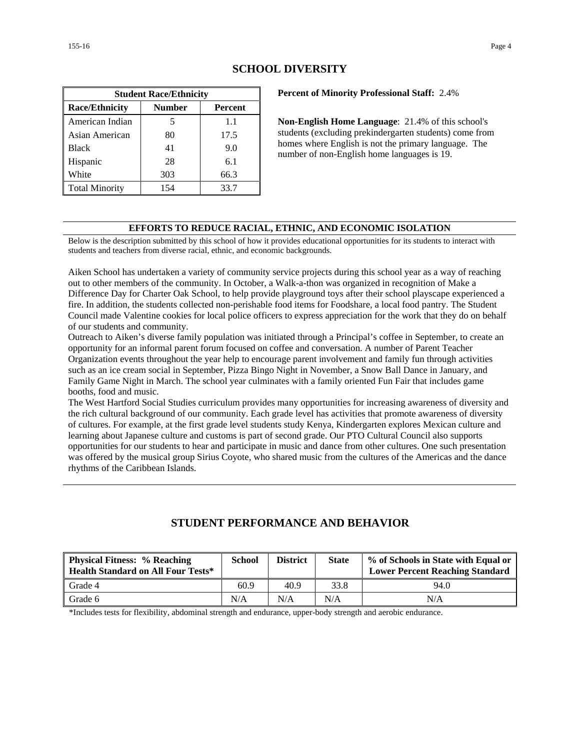| <b>Student Race/Ethnicity</b>                     |     |      |  |  |  |  |
|---------------------------------------------------|-----|------|--|--|--|--|
| <b>Race/Ethnicity</b><br><b>Number</b><br>Percent |     |      |  |  |  |  |
| American Indian                                   | 5   | 1.1  |  |  |  |  |
| Asian American                                    | 80  | 17.5 |  |  |  |  |
| <b>Black</b>                                      | 41  | 9.0  |  |  |  |  |
| Hispanic                                          | 28  | 6.1  |  |  |  |  |
| White                                             | 303 | 66.3 |  |  |  |  |
| <b>Total Minority</b>                             | 154 | 33.7 |  |  |  |  |

# **SCHOOL DIVERSITY**

**Percent of Minority Professional Staff:** 2.4%

**Non-English Home Language**: 21.4% of this school's students (excluding prekindergarten students) come from homes where English is not the primary language. The number of non-English home languages is 19.

### **EFFORTS TO REDUCE RACIAL, ETHNIC, AND ECONOMIC ISOLATION**

Below is the description submitted by this school of how it provides educational opportunities for its students to interact with students and teachers from diverse racial, ethnic, and economic backgrounds.

Aiken School has undertaken a variety of community service projects during this school year as a way of reaching out to other members of the community. In October, a Walk-a-thon was organized in recognition of Make a Difference Day for Charter Oak School, to help provide playground toys after their school playscape experienced a fire. In addition, the students collected non-perishable food items for Foodshare, a local food pantry. The Student Council made Valentine cookies for local police officers to express appreciation for the work that they do on behalf of our students and community.

Outreach to Aiken's diverse family population was initiated through a Principal's coffee in September, to create an opportunity for an informal parent forum focused on coffee and conversation. A number of Parent Teacher Organization events throughout the year help to encourage parent involvement and family fun through activities such as an ice cream social in September, Pizza Bingo Night in November, a Snow Ball Dance in January, and Family Game Night in March. The school year culminates with a family oriented Fun Fair that includes game booths, food and music.

The West Hartford Social Studies curriculum provides many opportunities for increasing awareness of diversity and the rich cultural background of our community. Each grade level has activities that promote awareness of diversity of cultures. For example, at the first grade level students study Kenya, Kindergarten explores Mexican culture and learning about Japanese culture and customs is part of second grade. Our PTO Cultural Council also supports opportunities for our students to hear and participate in music and dance from other cultures. One such presentation was offered by the musical group Sirius Coyote, who shared music from the cultures of the Americas and the dance rhythms of the Caribbean Islands.

# **STUDENT PERFORMANCE AND BEHAVIOR**

| <b>Physical Fitness: % Reaching</b><br><b>Health Standard on All Four Tests*</b> | <b>School</b> | <b>District</b> | <b>State</b> | % of Schools in State with Equal or<br><b>Lower Percent Reaching Standard</b> |
|----------------------------------------------------------------------------------|---------------|-----------------|--------------|-------------------------------------------------------------------------------|
| Grade 4                                                                          | 60.9          | 40.9            | 33.8         | 94.0                                                                          |
| Grade 6                                                                          | N/A           | N/A             | N/A          | N/A                                                                           |

\*Includes tests for flexibility, abdominal strength and endurance, upper-body strength and aerobic endurance.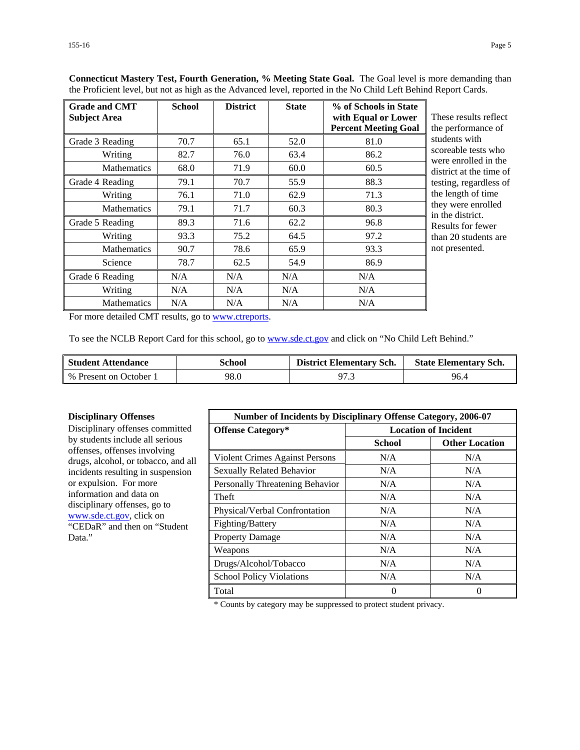| <b>Grade and CMT</b><br><b>Subject Area</b> | <b>School</b> | <b>District</b> | <b>State</b> | % of Schools in State<br>with Equal or Lower<br><b>Percent Meeting Goal</b> | These results reflect<br>the performance of |
|---------------------------------------------|---------------|-----------------|--------------|-----------------------------------------------------------------------------|---------------------------------------------|
| Grade 3 Reading                             | 70.7          | 65.1            | 52.0         | 81.0                                                                        | students with                               |
| Writing                                     | 82.7          | 76.0            | 63.4         | 86.2                                                                        | scoreable tests who<br>were enrolled in the |
| <b>Mathematics</b>                          | 68.0          | 71.9            | 60.0         | 60.5                                                                        | district at the time of                     |
| Grade 4 Reading                             | 79.1          | 70.7            | 55.9         | 88.3                                                                        | testing, regardless of                      |
| Writing                                     | 76.1          | 71.0            | 62.9         | 71.3                                                                        | the length of time                          |
| <b>Mathematics</b>                          | 79.1          | 71.7            | 60.3         | 80.3                                                                        | they were enrolled<br>in the district.      |
| Grade 5 Reading                             | 89.3          | 71.6            | 62.2         | 96.8                                                                        | Results for fewer                           |
| Writing                                     | 93.3          | 75.2            | 64.5         | 97.2                                                                        | than 20 students are                        |
| <b>Mathematics</b>                          | 90.7          | 78.6            | 65.9         | 93.3                                                                        | not presented.                              |
| Science                                     | 78.7          | 62.5            | 54.9         | 86.9                                                                        |                                             |
| Grade 6 Reading                             | N/A           | N/A             | N/A          | N/A                                                                         |                                             |
| Writing                                     | N/A           | N/A             | N/A          | N/A                                                                         |                                             |
| <b>Mathematics</b>                          | N/A           | N/A             | N/A          | N/A                                                                         |                                             |

**Connecticut Mastery Test, Fourth Generation, % Meeting State Goal.** The Goal level is more demanding than the Proficient level, but not as high as the Advanced level, reported in the No Child Left Behind Report Cards.

For more detailed CMT results, go to [www.ctreports.](http://www.ctreports/)

To see the NCLB Report Card for this school, go to [www.sde.ct.gov](http://www.sde.ct.gov/) and click on "No Child Left Behind."

| <b>Student Attendance</b> | School | <b>District Elementary Sch.</b> | <b>State Elementary Sch.</b> |
|---------------------------|--------|---------------------------------|------------------------------|
| % Present on October 1    | 98.0   | 97.3                            | 96.4                         |

#### **Disciplinary Offenses**

Disciplinary offenses committed by students include all serious offenses, offenses involving drugs, alcohol, or tobacco, and all incidents resulting in suspension or expulsion. For more information and data on disciplinary offenses, go to [www.sde.ct.gov,](http://www.sde.ct.gov/) click on "CEDaR" and then on "Student Data."

| <b>Number of Incidents by Disciplinary Offense Category, 2006-07</b> |                             |                       |
|----------------------------------------------------------------------|-----------------------------|-----------------------|
| <b>Offense Category*</b>                                             | <b>Location of Incident</b> |                       |
|                                                                      | School                      | <b>Other Location</b> |
| Violent Crimes Against Persons                                       | N/A                         | N/A                   |
| <b>Sexually Related Behavior</b>                                     | N/A                         | N/A                   |
| Personally Threatening Behavior                                      | N/A                         | N/A                   |
| Theft                                                                | N/A                         | N/A                   |
| Physical/Verbal Confrontation                                        | N/A                         | N/A                   |
| Fighting/Battery                                                     | N/A                         | N/A                   |
| <b>Property Damage</b>                                               | N/A                         | N/A                   |
| Weapons                                                              | N/A                         | N/A                   |
| Drugs/Alcohol/Tobacco                                                | N/A                         | N/A                   |
| <b>School Policy Violations</b>                                      | N/A                         | N/A                   |
| Total                                                                | 0                           | $\mathbf{0}$          |

\* Counts by category may be suppressed to protect student privacy.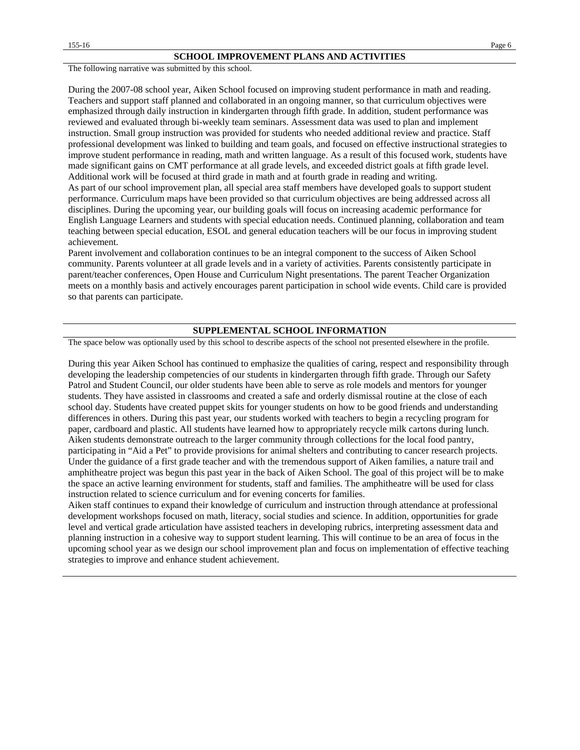The following narrative was submitted by this school.

During the 2007-08 school year, Aiken School focused on improving student performance in math and reading. Teachers and support staff planned and collaborated in an ongoing manner, so that curriculum objectives were emphasized through daily instruction in kindergarten through fifth grade. In addition, student performance was reviewed and evaluated through bi-weekly team seminars. Assessment data was used to plan and implement instruction. Small group instruction was provided for students who needed additional review and practice. Staff professional development was linked to building and team goals, and focused on effective instructional strategies to improve student performance in reading, math and written language. As a result of this focused work, students have made significant gains on CMT performance at all grade levels, and exceeded district goals at fifth grade level. Additional work will be focused at third grade in math and at fourth grade in reading and writing. As part of our school improvement plan, all special area staff members have developed goals to support student performance. Curriculum maps have been provided so that curriculum objectives are being addressed across all disciplines. During the upcoming year, our building goals will focus on increasing academic performance for English Language Learners and students with special education needs. Continued planning, collaboration and team teaching between special education, ESOL and general education teachers will be our focus in improving student achievement.

Parent involvement and collaboration continues to be an integral component to the success of Aiken School community. Parents volunteer at all grade levels and in a variety of activities. Parents consistently participate in parent/teacher conferences, Open House and Curriculum Night presentations. The parent Teacher Organization meets on a monthly basis and actively encourages parent participation in school wide events. Child care is provided so that parents can participate.

#### **SUPPLEMENTAL SCHOOL INFORMATION**

The space below was optionally used by this school to describe aspects of the school not presented elsewhere in the profile.

During this year Aiken School has continued to emphasize the qualities of caring, respect and responsibility through developing the leadership competencies of our students in kindergarten through fifth grade. Through our Safety Patrol and Student Council, our older students have been able to serve as role models and mentors for younger students. They have assisted in classrooms and created a safe and orderly dismissal routine at the close of each school day. Students have created puppet skits for younger students on how to be good friends and understanding differences in others. During this past year, our students worked with teachers to begin a recycling program for paper, cardboard and plastic. All students have learned how to appropriately recycle milk cartons during lunch. Aiken students demonstrate outreach to the larger community through collections for the local food pantry, participating in "Aid a Pet" to provide provisions for animal shelters and contributing to cancer research projects. Under the guidance of a first grade teacher and with the tremendous support of Aiken families, a nature trail and amphitheatre project was begun this past year in the back of Aiken School. The goal of this project will be to make the space an active learning environment for students, staff and families. The amphitheatre will be used for class instruction related to science curriculum and for evening concerts for families.

Aiken staff continues to expand their knowledge of curriculum and instruction through attendance at professional development workshops focused on math, literacy, social studies and science. In addition, opportunities for grade level and vertical grade articulation have assisted teachers in developing rubrics, interpreting assessment data and planning instruction in a cohesive way to support student learning. This will continue to be an area of focus in the upcoming school year as we design our school improvement plan and focus on implementation of effective teaching strategies to improve and enhance student achievement.